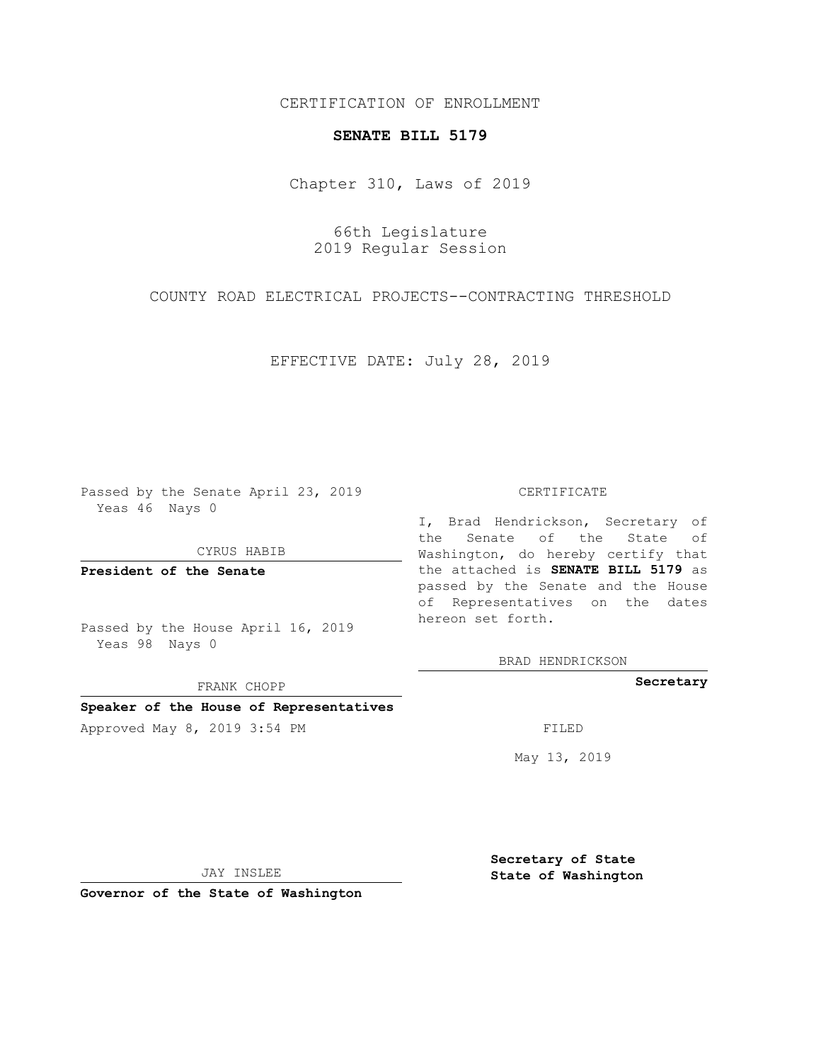# CERTIFICATION OF ENROLLMENT

# **SENATE BILL 5179**

Chapter 310, Laws of 2019

66th Legislature 2019 Regular Session

COUNTY ROAD ELECTRICAL PROJECTS--CONTRACTING THRESHOLD

EFFECTIVE DATE: July 28, 2019

Passed by the Senate April 23, 2019 Yeas 46 Nays 0

CYRUS HABIB

**President of the Senate**

Passed by the House April 16, 2019 Yeas 98 Nays 0

FRANK CHOPP

### **Speaker of the House of Representatives**

Approved May 8, 2019 3:54 PM

#### CERTIFICATE

I, Brad Hendrickson, Secretary of the Senate of the State of Washington, do hereby certify that the attached is **SENATE BILL 5179** as passed by the Senate and the House of Representatives on the dates hereon set forth.

BRAD HENDRICKSON

**Secretary**

May 13, 2019

JAY INSLEE

**Governor of the State of Washington**

**Secretary of State State of Washington**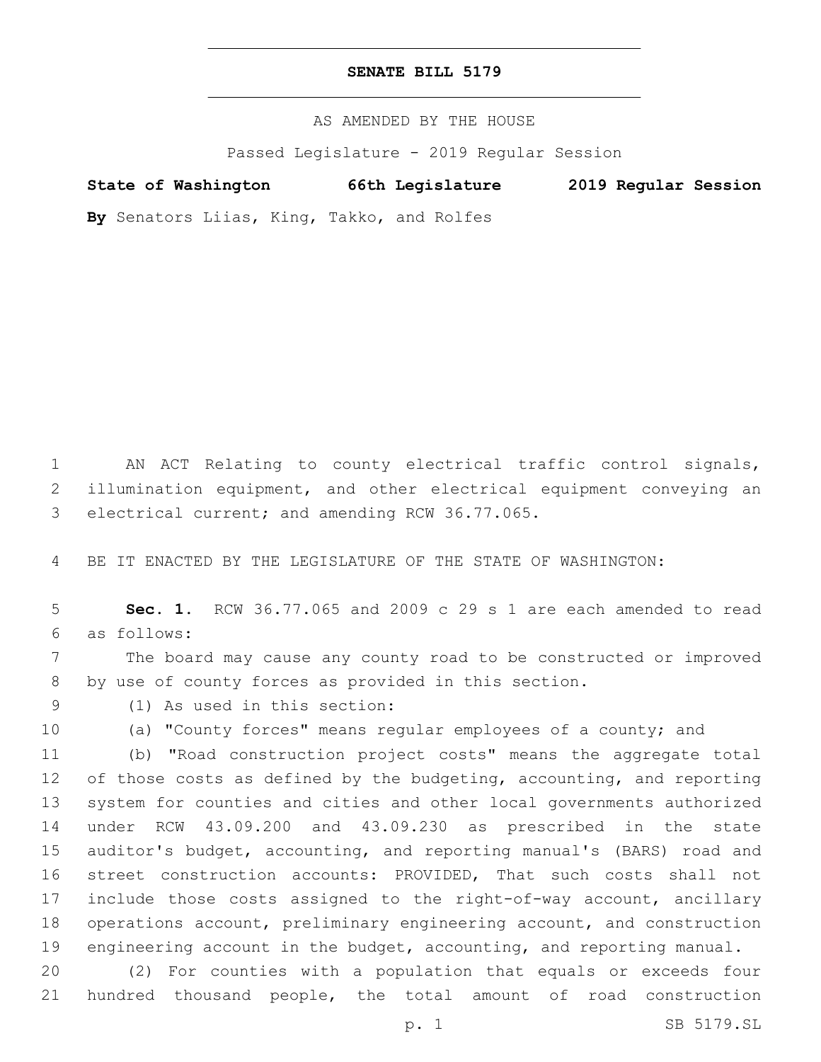# **SENATE BILL 5179**

AS AMENDED BY THE HOUSE

Passed Legislature - 2019 Regular Session

**State of Washington 66th Legislature 2019 Regular Session**

**By** Senators Liias, King, Takko, and Rolfes

1 AN ACT Relating to county electrical traffic control signals, 2 illumination equipment, and other electrical equipment conveying an 3 electrical current; and amending RCW 36.77.065.

4 BE IT ENACTED BY THE LEGISLATURE OF THE STATE OF WASHINGTON:

5 **Sec. 1.** RCW 36.77.065 and 2009 c 29 s 1 are each amended to read as follows:6

7 The board may cause any county road to be constructed or improved 8 by use of county forces as provided in this section.

(1) As used in this section:9

10 (a) "County forces" means regular employees of a county; and

 (b) "Road construction project costs" means the aggregate total 12 of those costs as defined by the budgeting, accounting, and reporting system for counties and cities and other local governments authorized under RCW 43.09.200 and 43.09.230 as prescribed in the state auditor's budget, accounting, and reporting manual's (BARS) road and street construction accounts: PROVIDED, That such costs shall not include those costs assigned to the right-of-way account, ancillary operations account, preliminary engineering account, and construction 19 engineering account in the budget, accounting, and reporting manual.

20 (2) For counties with a population that equals or exceeds four 21 hundred thousand people, the total amount of road construction

p. 1 SB 5179.SL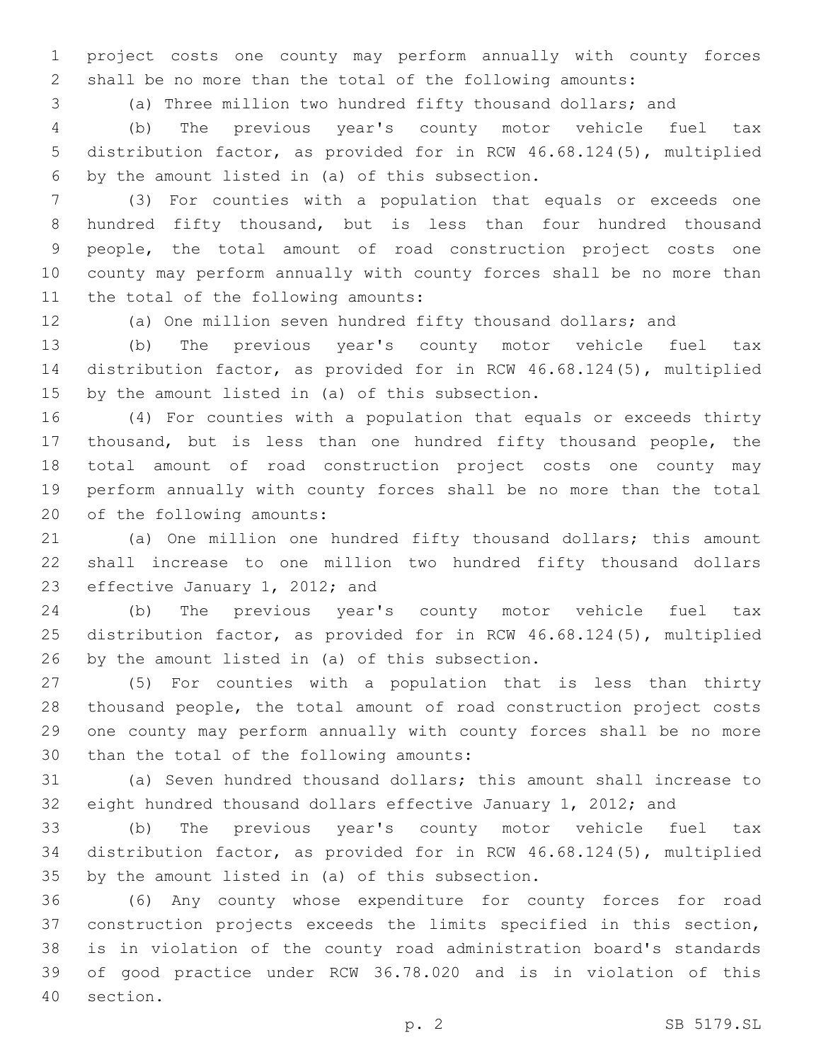project costs one county may perform annually with county forces shall be no more than the total of the following amounts:

(a) Three million two hundred fifty thousand dollars; and

 (b) The previous year's county motor vehicle fuel tax distribution factor, as provided for in RCW 46.68.124(5), multiplied 6 by the amount listed in (a) of this subsection.

 (3) For counties with a population that equals or exceeds one hundred fifty thousand, but is less than four hundred thousand people, the total amount of road construction project costs one county may perform annually with county forces shall be no more than 11 the total of the following amounts:

(a) One million seven hundred fifty thousand dollars; and

 (b) The previous year's county motor vehicle fuel tax distribution factor, as provided for in RCW 46.68.124(5), multiplied 15 by the amount listed in (a) of this subsection.

 (4) For counties with a population that equals or exceeds thirty thousand, but is less than one hundred fifty thousand people, the total amount of road construction project costs one county may perform annually with county forces shall be no more than the total 20 of the following amounts:

 (a) One million one hundred fifty thousand dollars; this amount shall increase to one million two hundred fifty thousand dollars 23 effective January 1, 2012; and

 (b) The previous year's county motor vehicle fuel tax distribution factor, as provided for in RCW 46.68.124(5), multiplied 26 by the amount listed in (a) of this subsection.

 (5) For counties with a population that is less than thirty thousand people, the total amount of road construction project costs one county may perform annually with county forces shall be no more 30 than the total of the following amounts:

 (a) Seven hundred thousand dollars; this amount shall increase to eight hundred thousand dollars effective January 1, 2012; and

 (b) The previous year's county motor vehicle fuel tax distribution factor, as provided for in RCW 46.68.124(5), multiplied 35 by the amount listed in (a) of this subsection.

 (6) Any county whose expenditure for county forces for road construction projects exceeds the limits specified in this section, is in violation of the county road administration board's standards of good practice under RCW 36.78.020 and is in violation of this 40 section.